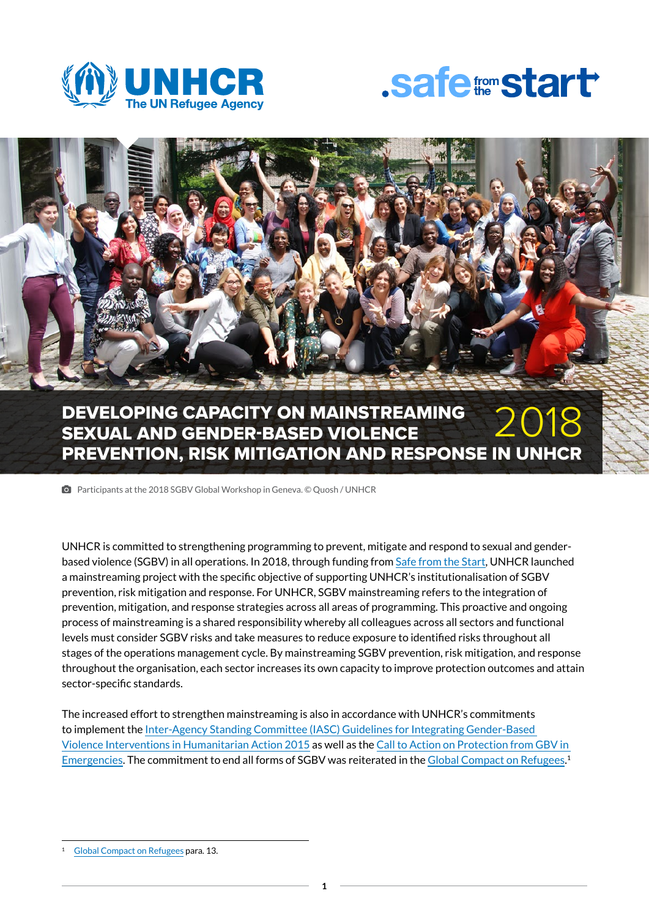





#### DEVELOPING CAPACITY ON MAINSTREAMING SEXUAL AND GENDER-BASED VIOLENCE PREVENTION, RISK MITIGATION AND RESPONSE IN UNHCR 2018

**I** Participants at the 2018 SGBV Global Workshop in Geneva. © Quosh / UNHCR

UNHCR is committed to strengthening programming to prevent, mitigate and respond to sexual and genderbased violence (SGBV) in all operations. In 2018, through funding from [Safe from the Start](http://www.unhcr.org/575a83dd5.html), UNHCR launched a mainstreaming project with the specific objective of supporting UNHCR's institutionalisation of SGBV prevention, risk mitigation and response. For UNHCR, SGBV mainstreaming refers to the integration of prevention, mitigation, and response strategies across all areas of programming. This proactive and ongoing process of mainstreaming is a shared responsibility whereby all colleagues across all sectors and functional levels must consider SGBV risks and take measures to reduce exposure to identified risks throughout all stages of the operations management cycle. By mainstreaming SGBV prevention, risk mitigation, and response throughout the organisation, each sector increases its own capacity to improve protection outcomes and attain sector-specific standards.

The increased effort to strengthen mainstreaming is also in accordance with UNHCR's commitments to implement the [Inter-Agency Standing Committee \(IASC\) Guidelines for Integrating Gender-Based](https://gbvguidelines.org/wp/wp-content/uploads/2016/10/2015_IASC_Gender-based_Violence_Guidelines_full-res.pdf)  [Violence Interventions in Humanitarian Action 2015](https://gbvguidelines.org/wp/wp-content/uploads/2016/10/2015_IASC_Gender-based_Violence_Guidelines_full-res.pdf) as well as the [Call to Action on Protection from GBV in](https://www.calltoactiongbv.com/)  [Emergencies.](https://www.calltoactiongbv.com/) The commitment to end all forms of SGBV was reiterated in the [Global Compact on Refugees](https://www.unhcr.org/gcr/GCR_English.pdf). 1

[Global Compact on Refugees](https://www.unhcr.org/gcr/GCR_English.pdf) para. 13.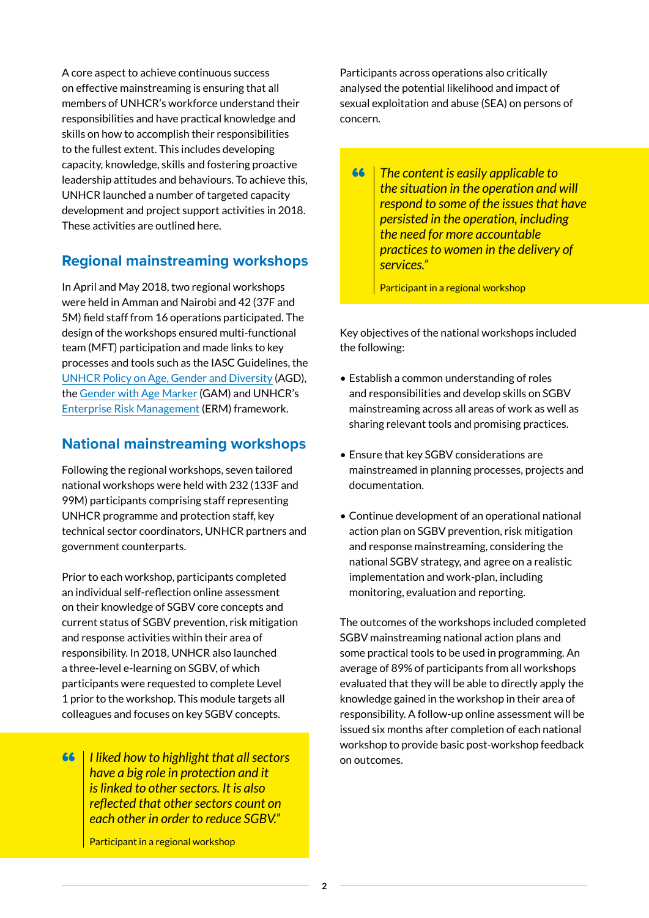A core aspect to achieve continuous success on effective mainstreaming is ensuring that all members of UNHCR's workforce understand their responsibilities and have practical knowledge and skills on how to accomplish their responsibilities to the fullest extent. This includes developing capacity, knowledge, skills and fostering proactive leadership attitudes and behaviours. To achieve this, UNHCR launched a number of targeted capacity development and project support activities in 2018. These activities are outlined here.

## **Regional mainstreaming workshops**

In April and May 2018, two regional workshops were held in Amman and Nairobi and 42 (37F and 5M) field staff from 16 operations participated. The design of the workshops ensured multi-functional team (MFT) participation and made links to key processes and tools such as the IASC Guidelines, the [UNHCR Policy on Age, Gender and Diversity](https://www.unhcr.org/protection/women/5aa13c0c7/policy-age-gender-diversity-accountability-2018.html) (AGD), the [Gender with Age Marker](https://interagencystandingcommittee.org/system/files/iasc-gam-information-sheet.pdf) (GAM) and UNHCR's [Enterprise Risk Management](https://www.unhcr.org/5ba3522e4.pdf) (ERM) framework.

## **National mainstreaming workshops**

Following the regional workshops, seven tailored national workshops were held with 232 (133F and 99M) participants comprising staff representing UNHCR programme and protection staff, key technical sector coordinators, UNHCR partners and government counterparts.

Prior to each workshop, participants completed an individual self-reflection online assessment on their knowledge of SGBV core concepts and current status of SGBV prevention, risk mitigation and response activities within their area of responsibility. In 2018, UNHCR also launched a three-level e-learning on SGBV, of which participants were requested to complete Level 1 prior to the workshop. This module targets all colleagues and focuses on key SGBV concepts.

**66 | I liked how to highlight that all sectors** on outcomes. *have a big role in protection and it is linked to other sectors. It is also reflected that other sectors count on each other in order to reduce SGBV."*

Participant in a regional workshop

Participants across operations also critically analysed the potential likelihood and impact of sexual exploitation and abuse (SEA) on persons of concern.

**66** The content is easily applicable to *the situation in the operation and will respond to some of the issues that have persisted in the operation, including the need for more accountable practices to women in the delivery of services."*

Participant in a regional workshop

Key objectives of the national workshops included the following:

- Establish a common understanding of roles and responsibilities and develop skills on SGBV mainstreaming across all areas of work as well as sharing relevant tools and promising practices.
- Ensure that key SGBV considerations are mainstreamed in planning processes, projects and documentation.
- Continue development of an operational national action plan on SGBV prevention, risk mitigation and response mainstreaming, considering the national SGBV strategy, and agree on a realistic implementation and work-plan, including monitoring, evaluation and reporting.

The outcomes of the workshops included completed SGBV mainstreaming national action plans and some practical tools to be used in programming. An average of 89% of participants from all workshops evaluated that they will be able to directly apply the knowledge gained in the workshop in their area of responsibility. A follow-up online assessment will be issued six months after completion of each national workshop to provide basic post-workshop feedback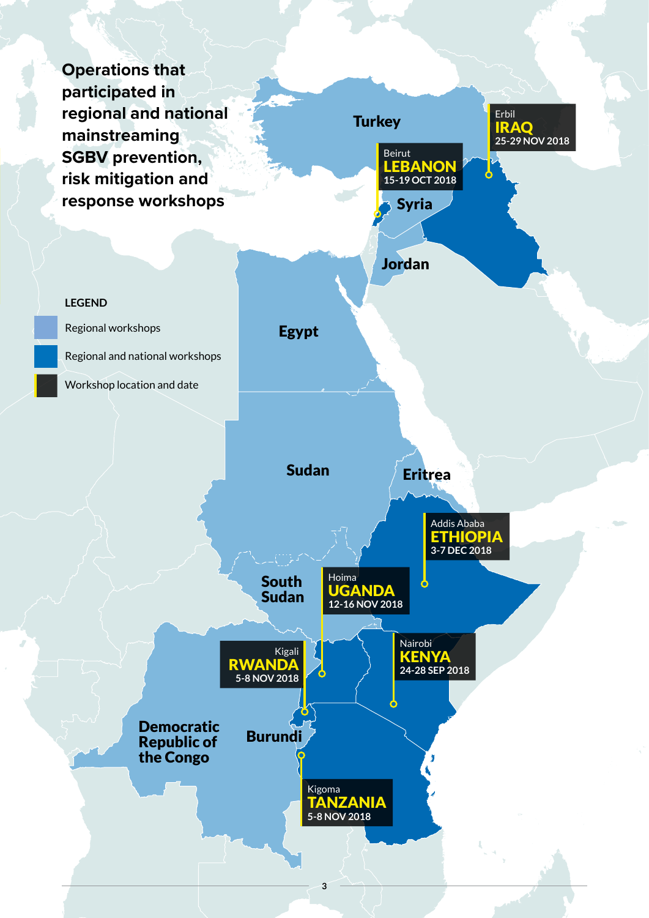